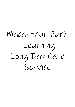# Macarthur Early Learning Long Day Care Service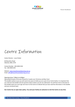

# Centre Information

Center Director – Laura Packer

66 Macarthur Road Elderslie, NSW, 2570

Contact Number - (02) 4658 2244 Fax - (02) 4658 2255

Website: www.macarthurearlylearning.com.au Email: office@macarthurearlylearning.com.au

#### Opening times 7:00am to 6:00pm

Operating 50 weeks of the year (Closed for 2 weeks over Christmas and New Year)

This booklet outlines issues you will need to be aware of while you are a part of our Centre family. It is important that you read over this booklet and ask questions about matters you do not understand. You will find a form at the back of this booklet which you must sign and return to the Centre to indicate that you have read the information in this booklet and your enrolment pack.

**Our Centre has an open door policy. You and your family are welcome to visit the Centre at any time.**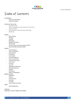

# Index of Contents

#### Introduction

- Our Centre Philosophy
- Child Care Subsidy

#### Overiew of the service

- The daily routine
- What to bring before commencement of enrolment
- Services offered
- What Macarthur Early Learning provides daily
- Age groups

#### Children

- What to Bring
- **Birthdays**
- Clothing
- **Belongings**
- Behaviour Guidance
- Rest & Sleep
- The Early Years Learning Framework (EYLF)
- National Quality Standards (NQS)

#### Parents

- **Communication**
- Hours of Operation
- Notice Boards
- Enrolments
- Court Orders
- Arrival & Departure
- Parent Involvement
- Commencement Fees
- Centre Fees
- Accounts
- Late Fees
- Attendance & Absences
- Allowable Absences
- Holidays
- Waiting List
- Notice of Withdrawal

#### Health & Safety

- **Medication**
- Asthma
- Sun Protection
- **Accidents**
- Fire Drills
- Centre Safety by Parents

#### Staff

Staff Qualifications

#### Conclusion

Important Contact Numbers for Families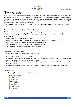

# Introduction

Welcome to Macarthur Early Learning! We pride ourselves in being a privately owned family business! We know that finding a new childcare centrecan be hard, but here at Macarthur Early Learning our aim is to provide a warm, secure and nuturing environment where children can develop their intellectual, social, emotional, physical, aesthetic skills to become competent and confident individuals. Also, for you as a parent, guardian or caregiver, we believe it is just as important for you to feel safe that your child is receiving the best duty of care in at long day care service.

We believe the best way to achieve this with you and your child is by building a **partnership**. We strive for all visitors to our service to feel:

#### Welcomed, recognised, acknowledged and respected by all our staff.

That your child is really known by, and really knows, the people who care for him or her.

That you are receiving plenty of quality information about what is occurring during the day that your child is in care.

That your views are being heard and respected.

That you are involved in making decisions about your child's experiences on a regular basis.

That you and your child are warmly received and greeted upon arrival.

That your child is happy, secure and respected within the service.

That your child is not just looked after but really cared for.

#### Macarthur early Learning Goals -

- To make every child feel secure in the early learning environment.
- To develop each child's sense of self.
- To allow each individual to develop intellectual abilities at their own pace.
- To help develop children socially and emotionally by making them aware of all the emotions which can be experienced, and teaching them to deal with those emotions in an acceptable way.
- To develop children's creativity and self expression through art, language and music with the emphasis being placed on the doing, not the end result.
- To help children develop confidence in their physical abilities by providing activities to encourage both fine and gross motor skills.

#### February 2017 -

#### Overall Rating: Exceeding in National Quality Standards

Quality Area Ratings:

1 Exceeding NQS 2 Exceeding NQS **Meeting NQ Meeting NQS** 5 Meeting NQS **Exceeding NQS** 

**Exceeding NQS**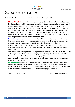

## Our Centre Philosophy

**At Macarthur Early Learning, our centre philosophy is based on our M.E.L approach for:** 

- **M is for Meaningful** We strive to create a welcoming environment where all children, families and communities are respected, and are actively encouraged to collaborate and engage with educators to create curriculum decisions. We encourage all learning experiences that are meaningful and engaging. We value all cultural contributions and acknowledge their importance in our curriculum. All children have the right to obtain quality care and education, within a safe and dynamic learning environment. Our routines and educational programs are flexible, providing children's learning to develop reflecting on their interests, strengths and potential.
- **E is for Environment** As educators we believe it is important to create spontaneous learning environments, which encourage the children to explore and investigate their world. Through an environment that triggers skills like exploration discovery and investigation a child's interests can be unstoppable. The dynamics of the children's learning environment can propel their learning and abilities through creative play and exploration.
- As a service we strive to promote the importance of a healthy wellbeing in all areas of life including healthy eating, emotional and physical wellbeing. As educators, we also believe that it is our crucial role to continue encouraging children to discover and interpret their own connections within their learning space including their ideas, concepts, processes when completing tasks.
- **L is for Learning-** As educators we believe that children will learn through play based experiences and an investigative world. With the main focus to let them be engaged, enjoy themselves and have fun. The environment focus is to provide a safe, secure world in which the children's happiness and sense of belonging is paramount.

Review Date January 2018 Next Review January 2019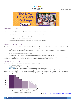



#### Child Care Subsidy

The Child Care Subsidy is the main way the Government assists families with their child care fees.

The Child Care Subsidy that commenced on 2 July 2018:

- replaced the Child Care Benefit (CCB) and Child Care Rebate (CCR) with a single, means-tested subsidy
- is generally paid directly to child care providers to be passed on to families
- is simpler than the previous multi-payment system
- is better targeted and provides more assistance to low and middle income families.

#### Child Care Subsidy Eligibility

Some basic requirements must be satisfied for an individual to be eligible to receive Child Care Subsidy for a child. These include:

- the age of the child (must be aged 13 or under and not attending secondary school, except in certain circumstances where an individual may be eligible for a child who does not meet this criteria, such as children with a disability or medical condition in certain circumstances)
- the child meeting immunisation requirements
- the individual, or their partner, meeting the residency requirements listed in the legislation.

In addition, to be eligible for Child Care Subsidy the individual must be liable to pay for care provided, the care must be delivered in Australia by an approved child care provider, and not be part of a compulsory education program.

#### Child Care Subsidy entitlement

There are three factors that determine a family's level of Child Care Subsidy. These are:

- Combined Annual Income
- Activity test the activity level of both parents
- Service type type of child care service and whether the child attends school

The Child Care Subsidy is generally paid directly to service providers to be passed on to families as a fee reduction. Families make a co-contribution to their child care fees and pay to the provider the difference between the fee charged and the subsidy amount. There is also targeted additional fee assistance for vulnerable families through the Child Care Safety Net



Source - https://www.education.gov.au/child-care-subsidy-0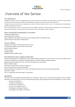

# Overview of the Service

#### The Daily Routine

Although the routines of each room and age group will vary, the same aspects are contained in each. We endeavour to provide a home and family environment at the Centre where the children feel comfortable and secure at all times and our daily routines reflect this.

Throughout the day the children will be experiencing a number of different activities which are part of the educational and developmental programs operated by all of our staff.

Each room will display their routine in the rooms and these are available for parents to read and questions regarding this can be answered by the appropriate staff members. In place are both summer and winter routines, which adapt to weather conditions.

#### What to bring before commencement of enrolment

Completed enrolement form Copy of child's birth certificate Copy of Medicare Immunisation Record (Found on the MyGov website in the Medicare link) Upfront payment of two weeks of childrens fees

#### Services Offered

Long Day Care setting for children aged 8 weeks to 6 years Full educational program across all rooms in the service School readiness program Inclusion support Bi-lingual support Additional needs and NDIS Funding

#### What Macarthur Early Learning provides daily

All meals provided daily by a qualified cook. This includes Breakfast, Morning Tea, Lunch, Afternoon Tea and a Late afternoon Tea refreshment. All Meals are reviewed by the NSW Department of Health and Munch and Move program.

BabyLove nappies provided up to 3 years. Pull up or training pants are not provided

Wipes for nappy changes

Sudo Cream is used in 0-2 year rooms for nappy rash

Cancer Council Kids Suncreen 50+ UV protection

Sheets and blankets are provided in the 0-1 year room (Sheets will remain at the service and be launded daily)

Spare hats if needed

Cots (0-1 age group) and Stretcher beds (1-5 age groups)

#### Age Groups

The service offers six exceeding classrooms which aim to promote a spacious, warm and inviting environment for all our children during their care at Macarthur. The rooms will be offered according to age, developmental needs and availability. Our rooms include

- The Joeys room (Age 0-1)
- The Koala's room (Aged 1-2)
- The Wombats room (Aged 2-3)
- The Emu's room (Aged 3-4 Junior)
- The Wallabies room (Aged 3-4 Senior)
- The Kangaroos room (Aged 4-5 Preschool)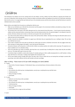

# Children

The introduction into childcare can be new, exciting and fun for the children. At times, children may find it difficult to separate from families and vice versa. At Macarthur Early Learning, we aim to make the children and families welfare and happiness the priority for all staff when welcoming them into the service. It is recognised that each family will vary in the orientation process and the service director and staff will achieve to meet the individual needs as best as possible.

Below outlines some helpful hints for parents on settling their child into care:

- Make sure you familiarise your child with the environment and the people in the environment (children and adults) by coming in for visits (tranisition time) before commencing care.
- The transition time is time spent in the child's allocated room for a short period of time (30 minutes 1 hour) to get to know the educators, children and the enivonment before commencing. Please note that during transition time, the parent/caregiver is not allowed to leave the premisis. We have a family room to relax in or the time can be spent in the room with the child.
- Try to talk at home about child care. Mention the names of the staff and other children. Talk about the things the child will be able to do at child care that are fun and enjoyable.
- Provide a favourite toy, blanket or comforter to support your child when they are separating from you or settling to sleep. This can help your child feel more secure.
- If your child is unsettled, short visits with you will help your child to gain trust with an unfamiliar environment. We may suggest shorter day when starting out. Slowly progress the length in hours each day the child attends.
- Interactions between staff and parents or staff and other children can produce positive role models and be reassuring. This experience can help to establish trust in an unfamiliar setting.
- Talk to the staff about your child, for example, what they like to do; successful ways of settling them to sleep; foods they like and dislike and so on. This helps staff to get to know your child.
- It sometimes helps to establish a routine when leaving. For example, giving your child a cuddle and giving them to a staff member or sitting down with them for a short play or reading a book together then leaving the room.
- At first some children protest strongly while others may take a day or two to realise that you are leaving them and begin to protest after several days. Each child is different and the staff members will cater accordingly.

#### What to Bring – Please ensure all of your child's belongings are clearly labelled.

 $0 - 1$  years

- Breast milk or Formula in dispenser. If child attends 5 days, we recommend leave a formula container at the service.
- Bottles
- Dummies
- Any comforters the child may have. Including blankets, security toys or anything that may smell like home.
- A full brimmed hat
- Plenty of changes of clothes.
- Drink bottle
- $0 2$  years
	- Bottles for rest time (Cows milk is provided)
	- Dummy, if needed.
	- Any comforters the child may have. Including blankets, security toys or anything that may smell like home.
	- A full brimmed hat
	- Plenty of changes of clothes.
	- Drink bottle
	- A set of sheets (Cot or single size Flat and fitted)

#### 2 -3 years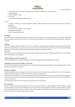

- Any comforters the child may have. Including blankets, security toys or anything that may smell like home.
- A full brimmed hat
- Plenty of changes of clothes.
- Drink bottle
- A set of sheets (Cot or single size Flat and fitted)

3-5 years

- A change of clothing that is weather appropriate (younger children- especially those toilet training will need extra changes and underpants)
- A full brimmed hat
- A set of sheets (Cot or single size Flat and fitted)
- Drink Bottle, clearly labelled
- Pull up or traning pants if toileting

#### Birthdays

Your child's birthday is a special event in their life. To celebrate your child's birthday, you are welcome to bring in a cake. For health and hygiene reasons we suggest cupcakes. Please check with your child's teacher prior to birthday, in case of other children having special dietary requirements or allergies.

#### Clothing

Parents are advised to send their children to the service in comfortable, sunsafe and inexpensive clothing. Macarthur Early Learning love to promote messy play with paints, clay, sand, water and mud. We do wear smocks and paint shirts, and our paints are non-toxic water based paints that do come out in the wash, but please ensure they are wearing comfortable and inexpensive clothing.

Please note:

The service will only have a limited supply of spare clothing. Please supply at least one change of clothing and underclothing in case of accidents, this includes underwear, socks, singlets ect.

#### Ensure clothing is weather appropriate

T-shirts and clothing that cover shoulders and closed in shoes. Please avoid tongs, singlet or thin strapped shirts or dresses.

#### Belongings and possessions brought in from home

Macarthur Early Learning discourages toys brought in from home and we will not hold any responsibility for any toys being lost or broken. Please be reassured security items are acceptable.

#### Behaviour Guidance

Staff follow a Behaviour Guidance Management Policy which extends across the whole service giving consistency in all rooms. This policy allows children to develop self awareness, a respect for others and for property and respect for self.

 At Macarthur Early Learning we aim to ensure that all educators form positive relationships with children that make them feel safe and supported within our Service. Educators will encourage and engage in positive relationships between children and their peers as well as with educators and volunteers at the Service.

If you require further information on this policy please ask staff and refer to the policy book.

#### Rest and Sleep

Rest time routine varies according to individual needs. We aim to make rest and sleep time a relaxed and pleasant time for all children. Your child may wish to bring a security item, pillow or blanket to have at rest time. Please feel free to discuss your child's rest needs with staff. On occasion, family may request or children may refuse a sleep for that day. This is compleety acceptable! We do encourage a 15 minute rest period either on the mat, stretcher bed or at a table provided with quite activities.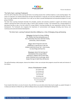

#### The Early Years Learning Framework

All of the staff at Macarthur Early Learning will hold or be working towards their certificate diploma or early teaching degree. This means our educators are trained professionals and have had experience in long day care and early childhood education and care. Due to our high standard and commitment of our staff, we are able to provide developmental and educational programs for each group of children.

The Early Years Learning Framework describes the principles, practice and outcomes essential to support and enhance young children's learning from birth to five years of age, as well as their transition to school. The Framework has a strong emphasis on play-based learning as play is the best vehicle for young children's learning providing the most appropriate stimulus for brain development. The Framework also recognizes the importance of communication and language (including early literacy and numeracy) and social and emotional development.

#### The Early Years Learning Framework describes childhood as a time of belonging, being and becoming

Belonging is the basis for living a fulfilling life. Children feel they belong because of the relationships they have with their family, community, culture and place.

Being is about living here and now. Childhood is a special time in life and children need time to just 'be'—time to play, try new things and have fun.

Becoming is about the learning and development that young children experience. Children start to form their sense of identity from an early age, which shapes the type of adult they will become

The staff will develop a daily program, observe the children in their care and plan their programs around the needs and interests of the children.

#### Areas of development include:

The creative child The thinking child The physical child The social child The feeling child The spiritual and moral child The communicating child Sense of self child

If your teacher feels there is an area of concern, they will inform you and advise where help may be sought, e.g. speech therapist. It is always your decision to follow this up. Staff are willing to discuss any aspect of development with parents.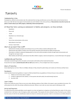

### Parents

#### Communication is key

Everybody has a different communication style. We understand that mornings and afternoons can be a little rushed, and not the best time to discuss your child. We have many types of communication we use for families in the centre just like you. *Please feel free at any time in person, by phone or email to discuss your child's progress, relationship, interest and experiences.* 

#### At Macarthur Early Learning we communicate to families and caregivers, via these methods:

- **Newsletters**
- Phone calls
- **Emails**
- Newsfeed on our interactive app
- Letters
- Face to face communication at the service
- Notice Board in front Foyer
- Surveys or input sheets

#### What can you expect from staff?

- Staff will inform families promptly and sensitively of any out of the ordinary incidents affecting their child.
- Staff will share with children's families some of the specific interactions they had with the children during the day.
- Information on children's eating and sleeping patterns at the centre will be provided to families through verbal communication and through the room sign in sheet.
- When families and staff make a joint decision that affect children's progress, interest and experience, a record will be kept in the appropr

#### Confidentially and Discretion

Information received through written and spoken communication with families will be treated with discretion. At any time if you require a **private discussion with our staff**, please inform us. This can happen face to face or by phone.

#### Hours of Operation

Service Operting hours are from 7:00 am to 18:00pm, Monday to Friday. (Closed for public holiays and 2 weeks over Christmas and New Years)

#### Enrolments

Under Australian Government guidelines in respect to Child Care Benefit there are guidelines to Priority of Access to Care, which are:

- 1. Children at risk of serious abuse or neglect.
- 2. A child of a single parent who satisfies, or of two parents who both satisfy, the work/training/ study test.
- 3. Any other child.

#### Court Orders

Parents must notify the service if there are any court orders affecting residency of their children. We request a copy is provided to the service. This will be placed into the child's file and kept confidential and private. Without a court order we cannot stop a parent collecting your child.

#### Arrival and Departure

For safety and security reasons *all* children must be signed in on arrival, and signed out on departure via the Kiosk Electronic system. On the service enrolment form it will state in case of emergency and/or cpntact people. These people will only be allowed to drop off and pick up your children from the service. On the first visit, identification needs to be shown to commence pick up process. Under no circumstances can child be allowed to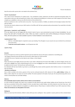

leave the service with a person who is not stated on the enrolment form,

#### Parent Involvement

This is vital to ensure maintenance of a quality service. Your contribution of ideas, experiences and skills are welcomed and greatly valued. You may be able to share your skills and experiences in Music, Craft, Cooking and Storytelling etc to enhance your child's program at the Centre. Please complete your availability or what you can offer the Centre on the enrolment form.

Parents are welcome to visit or call the Centre at any time. If you have any talents or hobbies, we welcome and encourage to please share them with the children.

If you have any concerns, please see your child's teacher or the Office staff. We have a grievance policy and procedure if you would like to formally raise any concerns

#### Grievances, Complaints and Feedback

If for any reason you are not happy with the Centre's level of care or care environment we want to know immediately. You can discuss this with staff or formally write a letter. When any matter is raised the centre will be following our Grievance Procedure Policy. All centre policies are made available to parents. Positive feedback is most welcome too.

#### Commencement Fees

- \$100 non- refundable deposit is required to secure your booking. This will appear on your account once your enrolment has commenced care at the service.
- **2 week fees must be paid in advance** one off payment per child.

#### Centre Fees

#### **Accounts**

On your first week at our Centre you will be required to pay two weeks fees and you will receive a statement on next billing cycle.

Any change of financial income will alter your fee structure, please advise our Centre and FAO

(13 6150) if this occurs. Payments can be made via cash, cheque, or direct deposit.

#### **Late Fees**

Please note that we must legally close by 6 pm sharp. If your child is collected from the Centre after 6.00pm, you will be charged a late fee, per child, which is \$30.00 if your child is collected between 6.01 to 6.15 pm and \$60.00 if your child is collected between 6.16 pm and 6.30 pm. This will be added onto your account. The fee will cover staff overtime pay.

Our dedicated staff also have families to go home to, and although they receive overtime payments when families are late, it is inconvenient to their own families.

#### **Attendance and Absence**

Once a child is enrolled at the Centre, payment of fees must be continued during the child's absence for illness, **public holidays**, holidays, etc. When a child is absent for any reason we must be notified. The Centre operates for 50 weeks of each year; the only period during which we are closed is Christmas/New Year and Public Holidays.

#### **Absences**

#### **We would kindly request to please call the centre to inform us of any absences**

As a part of Child Care Subsidy, each child in care is entitled to 42 days absences (sick, public holiday, holidays etc) per financial year. Once the 42 days have accumulated, full fees will be charged for further any absent days or public holidays. Any further absences more than 42 per year, with need support of a medical certificate to be applied as an addional absence. Please bring in a medical certificate if your child is away due to illness. **Please note all absences are still payable to the Centre.**

#### **Waiting List**

When our rooms have full enrolment, children's names will be put onto a waiting list. Once a position is vacant, parents are then contacted about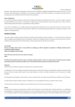

placement. When parents wish to change days to other days, this can be effective immediately provided the group enrolment is not full. If it is full the child's name will be placed on a waiting list. Once a position is available, days will then be adjusted. Our waiting list does give priority to working parents as per Australian Government Priority of Access Guidelines.

#### **Notice of Withdrawal**

It is our policy that parents must give two weeks written (14 days) notice before they withdraw from the Centre. If notice is not given, 2 weeks of fees will be added onto your account. If a child does not attend during 2 weeks notice period, full fess are payable ( that is with no child care benefit reduction) unless the absence is accompanied by a medical certificate.

At the time of cancellation, up to an eight week period may elapse before families receive any money owed to them. The Centre will ensure families accounts are reconciled with the Family Assistance Office prior to refunds being forwarded. Refunds are forwarded via cheques or direct deposit in a nominated account.

#### **Health & Safety**

The Centre provides a healthy and safe environment for children, staff and families to grow and develop in – as such the Centre has a health and safety and hygiene policy regarding illnesses and medications. Children with contagious illnesses are required to be kept at home and a doctor's certificate must be presented to show that the infection cannot be passed when the child returns to the Centre.

#### **Food Allergies**

**We are an allergy aware centre. If your child has an allergy you will be required to complete an 'Allergic reactions plan in consultation with your doctor' These are available at the front desk.** 

**Please inform the Centre Director if your child has any allergy. Illness** 

**NO CHILD will be admitted with obvious signs of any highly contagious infection or illness. Our policy states the incubation period, symptoms and exclusion periods of such diseases. Children who are not immunised will be required to be exempt from the Centre.** 

#### **Medication**

Staff will be able to administer medication to children who are recovering from illness.

A medication form must be completed and signed by parents before any medication will be given. All prescription medication must be prescribed for your child and not another family member- unless stated otherwise by a doctor's certificate. Medication must be in date and in it's original packaging.

The medication must be handed to a staff member to store in a locked container in the fridge. Please DO NOT leave medication in your child's bag.

The staff member who gives medication requires a medication form to be completed by the parent, e.g. tablets, mixture, creams.

Any child who has commenced an antibiotic must not attend the Centre for 24 hours from commencement.

#### **Asthma**

The Centre aims to provide a safe environment for children who have asthma. It is Centre policy that an "Asthma Action Plan" be completed by parents/guardians in consultation with the family doctor. It is also a requirement that the record plan be reviewed by your family doctor annually or as circumstances change. This must be completed and returned before enrolment commences. These will be available at the time of enrolment.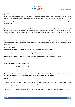

#### **Sun Protection**

#### **We are a Sun Safe Centre.**

Our Centre's policy is "no hat, play on the mat in the shade". This policy will be enforced. Parents are asked to ensure the children bring in a wide brim hat to wear during outside activities. These must be clearly named. The most suitable hat is one, which shades the ears and neck, as research is showing a high incidence of skin cancer on people's ears. Please makesure you dress your child in the appropriate clothing and correct footwear. If your child is arriving at the centre before 8am in the warmer months, please supply sunscreen before they arrive at the centre as we will be meeting outdoors.

#### **Accidents**

In case of an accident or illness occurring at the Centre, the Office staff or room leader will contact parents if deemed necessary. As a matter of extreme importance parents must ensure that the Centre has up to date emergency contact numbers. An incident report will be filled out, outlining the accident and signed by the staff who observed and administered first aid, as well as any witnesses. The Authorised Supervisor and parent's signature will also be required.

#### **Emergency Drills**

Throughout the year the Centre will hold emergency drills which occur at any given time throughout the day. These are carried out in a wellorganised and orderly manner. Also staff will be trained in using the fire extinguishers that are in the Centre. A emergency escape plan will be in every room.

#### **Using the Centre Safely**

**Please ensure all children are properly restrained in cars when travelling to and from our centre.** 

**Never leave children unattended in cars while collecting children from the centre.** 

**Cars parks are dangerous places for children, always hold children's hands when arriving and leaving the centre** 

**Never leave a door or gate open.** 

**Never leave your children unattended in a room.** 

**Children are not permitted into the kitchen and laundry areas.**

#### **OHS Feedback**

**We welcome all feedback regarding the safety of our centre. If you see something that concerns you regarding safe work practises, the safety of building and equipment or general OHS, please contact the office immediately.**

#### **Staff**

Suitable qualified staff are employed in all age groups and the child staff ratios are adhered to according to Licensing requirements. All staff will have their Senior First Aid Certificates, working with children checks completed and attend regular staff meetings. Our staff are regularly involved and encouraged to attend further development and training.

We aim for our Centre to be unique in that all our staff will have had training and experience in the child care profession. For further details on the qualifications of the staff, please see our Office staff.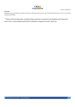#### **Conclusion**

We guarantee your child will have a happy, safe and secure relationship with the Centre and its staff and that the time he or she is in our care will be positive and fulfilling.

*\*\* Please note that information, including charges and prices, contained in this handbook will change from time to time. A new handbook will be given to families as changes are made. Thank-you.*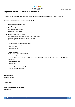

#### **Important Contacts and Information for Families**

The centre provides families with current information on child and family resources and services accessible in the local community

Our centre has a parent library with resources you may find helpful.

- **Department of Community Services**  http://www.community.nsw.gov.au
- **Department of Human Services** http://www.dhs.vic.gov.au/home
- **Department for Communities**  http://www.community.wa.gov.au/DFC/Resources/ChildCare/
- **Department of Community Services**  http://www.community.nsw.gov.au/welcome\_to\_docs\_website.html
- Department of Disability, Housing and Community Services http://www.dhcs.act.gov.au/
- **National Childcare Accreditation Council (NCAC)**  Level 3, 418A Elizabeth Street SURRY HILLS 2010 Phone: 1300 136 554
- **Sydney (State Office)** Level 8, 255 Elizabeth St, SYDNEY NSW 2000 Phone: 1-DEEWR (133 397)
- Australian Children's Education Care and Quality Authority (ACECQA) Level 15, 255 Elizabeth St, Sydney NSW 2000. Phone: 1800 181 088
- **Family Assistance Office**  Phone: 13 6150
- **Australian Childhood Immunisation Register**  Phone: 1800 653 809

**Local Contacts** 

**Community Health and Resource Centre**  02 46 292111

**Speech Therapist**  02 333133

**Royal Institute for Deaf and Blind Children Melinda Lloyd**  02 9872 0826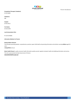

#### **Occupational Therapist ( Paediatric)**

02 46 256405

#### **Ambulance**

000

#### **Hospital**

02 46 219111

#### **Fire Station**

02 46 252709

#### **Local Immunisation Clinic**

Ph: 02 46 454605

#### **Informative Websites For Parents**

#### **Raising Children Network**

The Australian parenting website: comprehensive, practical, expert child health and parenting information and activities covering **children** aged 0-8 years.

**raisingchildren**.net.au/

Better Health Channel - quality consumer health information quality-assured, regularly reviewed, health and wellbeing information and services. This site is sponsored by the State Government of Victoria **www.betterhealth.vic.gov.au/**